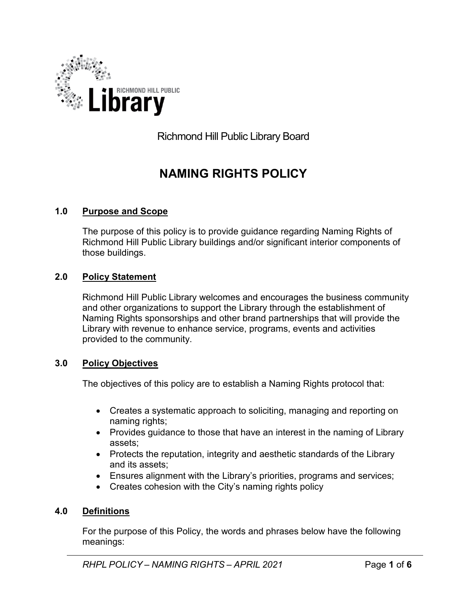

Richmond Hill Public Library Board

# **NAMING RIGHTS POLICY**

# **1.0 Purpose and Scope**

The purpose of this policy is to provide guidance regarding Naming Rights of Richmond Hill Public Library buildings and/or significant interior components of those buildings.

## **2.0 Policy Statement**

Richmond Hill Public Library welcomes and encourages the business community and other organizations to support the Library through the establishment of Naming Rights sponsorships and other brand partnerships that will provide the Library with revenue to enhance service, programs, events and activities provided to the community.

## **3.0 Policy Objectives**

The objectives of this policy are to establish a Naming Rights protocol that:

- Creates a systematic approach to soliciting, managing and reporting on naming rights;
- Provides guidance to those that have an interest in the naming of Library assets;
- Protects the reputation, integrity and aesthetic standards of the Library and its assets;
- Ensures alignment with the Library's priorities, programs and services;
- Creates cohesion with the City's naming rights policy

## **4.0 Definitions**

For the purpose of this Policy, the words and phrases below have the following meanings: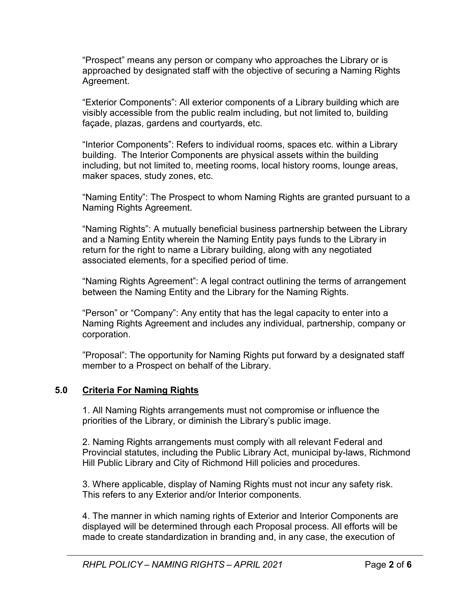"Prospect" means any person or company who approaches the Library or is approached by designated staff with the objective of securing a Naming Rights Agreement.

"Exterior Components": All exterior components of a Library building which are visibly accessible from the public realm including, but not limited to, building façade, plazas, gardens and courtyards, etc.

"Interior Components": Refers to individual rooms, spaces etc. within a Library building. The Interior Components are physical assets within the building including, but not limited to, meeting rooms, local history rooms, lounge areas, maker spaces, study zones, etc.

"Naming Entity": The Prospect to whom Naming Rights are granted pursuant to a Naming Rights Agreement.

"Naming Rights": A mutually beneficial business partnership between the Library and a Naming Entity wherein the Naming Entity pays funds to the Library in return for the right to name a Library building, along with any negotiated associated elements, for a specified period of time.

"Naming Rights Agreement": A legal contract outlining the terms of arrangement between the Naming Entity and the Library for the Naming Rights.

"Person" or "Company": Any entity that has the legal capacity to enter into a Naming Rights Agreement and includes any individual, partnership, company or corporation.

"Proposal": The opportunity for Naming Rights put forward by a designated staff member to a Prospect on behalf of the Library.

# **5.0 Criteria For Naming Rights**

1. All Naming Rights arrangements must not compromise or influence the priorities of the Library, or diminish the Library's public image.

2. Naming Rights arrangements must comply with all relevant Federal and Provincial statutes, including the Public Library Act, municipal by-laws, Richmond Hill Public Library and City of Richmond Hill policies and procedures.

3. Where applicable, display of Naming Rights must not incur any safety risk. This refers to any Exterior and/or Interior components.

4. The manner in which naming rights of Exterior and Interior Components are displayed will be determined through each Proposal process. All efforts will be made to create standardization in branding and, in any case, the execution of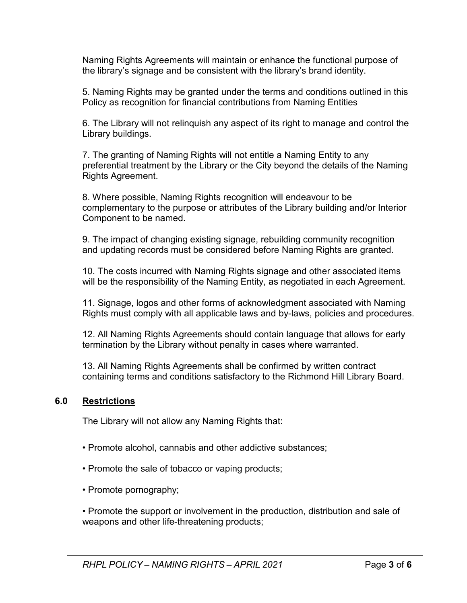Naming Rights Agreements will maintain or enhance the functional purpose of the library's signage and be consistent with the library's brand identity.

5. Naming Rights may be granted under the terms and conditions outlined in this Policy as recognition for financial contributions from Naming Entities

6. The Library will not relinquish any aspect of its right to manage and control the Library buildings.

7. The granting of Naming Rights will not entitle a Naming Entity to any preferential treatment by the Library or the City beyond the details of the Naming Rights Agreement.

8. Where possible, Naming Rights recognition will endeavour to be complementary to the purpose or attributes of the Library building and/or Interior Component to be named.

9. The impact of changing existing signage, rebuilding community recognition and updating records must be considered before Naming Rights are granted.

10. The costs incurred with Naming Rights signage and other associated items will be the responsibility of the Naming Entity, as negotiated in each Agreement.

11. Signage, logos and other forms of acknowledgment associated with Naming Rights must comply with all applicable laws and by-laws, policies and procedures.

12. All Naming Rights Agreements should contain language that allows for early termination by the Library without penalty in cases where warranted.

13. All Naming Rights Agreements shall be confirmed by written contract containing terms and conditions satisfactory to the Richmond Hill Library Board.

# **6.0 Restrictions**

The Library will not allow any Naming Rights that:

- Promote alcohol, cannabis and other addictive substances;
- Promote the sale of tobacco or vaping products;
- Promote pornography;

• Promote the support or involvement in the production, distribution and sale of weapons and other life-threatening products;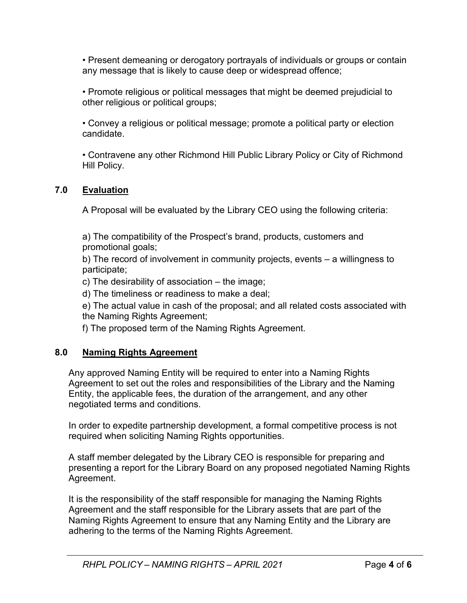• Present demeaning or derogatory portrayals of individuals or groups or contain any message that is likely to cause deep or widespread offence;

• Promote religious or political messages that might be deemed prejudicial to other religious or political groups;

• Convey a religious or political message; promote a political party or election candidate.

• Contravene any other Richmond Hill Public Library Policy or City of Richmond Hill Policy.

# **7.0 Evaluation**

A Proposal will be evaluated by the Library CEO using the following criteria:

a) The compatibility of the Prospect's brand, products, customers and promotional goals;

b) The record of involvement in community projects, events – a willingness to participate;

c) The desirability of association – the image;

d) The timeliness or readiness to make a deal;

e) The actual value in cash of the proposal; and all related costs associated with the Naming Rights Agreement;

f) The proposed term of the Naming Rights Agreement.

# **8.0 Naming Rights Agreement**

Any approved Naming Entity will be required to enter into a Naming Rights Agreement to set out the roles and responsibilities of the Library and the Naming Entity, the applicable fees, the duration of the arrangement, and any other negotiated terms and conditions.

In order to expedite partnership development, a formal competitive process is not required when soliciting Naming Rights opportunities.

A staff member delegated by the Library CEO is responsible for preparing and presenting a report for the Library Board on any proposed negotiated Naming Rights Agreement.

It is the responsibility of the staff responsible for managing the Naming Rights Agreement and the staff responsible for the Library assets that are part of the Naming Rights Agreement to ensure that any Naming Entity and the Library are adhering to the terms of the Naming Rights Agreement.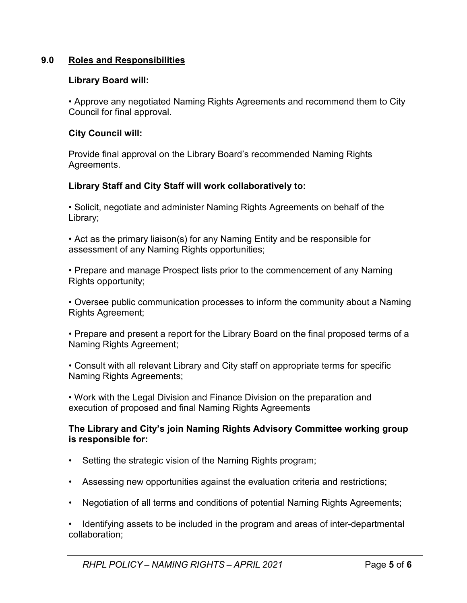## **9.0 Roles and Responsibilities**

## **Library Board will:**

• Approve any negotiated Naming Rights Agreements and recommend them to City Council for final approval.

## **City Council will:**

Provide final approval on the Library Board's recommended Naming Rights Agreements.

## **Library Staff and City Staff will work collaboratively to:**

• Solicit, negotiate and administer Naming Rights Agreements on behalf of the Library;

• Act as the primary liaison(s) for any Naming Entity and be responsible for assessment of any Naming Rights opportunities;

• Prepare and manage Prospect lists prior to the commencement of any Naming Rights opportunity:

• Oversee public communication processes to inform the community about a Naming Rights Agreement;

• Prepare and present a report for the Library Board on the final proposed terms of a Naming Rights Agreement;

• Consult with all relevant Library and City staff on appropriate terms for specific Naming Rights Agreements;

• Work with the Legal Division and Finance Division on the preparation and execution of proposed and final Naming Rights Agreements

## **The Library and City's join Naming Rights Advisory Committee working group is responsible for:**

- Setting the strategic vision of the Naming Rights program;
- Assessing new opportunities against the evaluation criteria and restrictions;
- Negotiation of all terms and conditions of potential Naming Rights Agreements;

• Identifying assets to be included in the program and areas of inter-departmental collaboration;